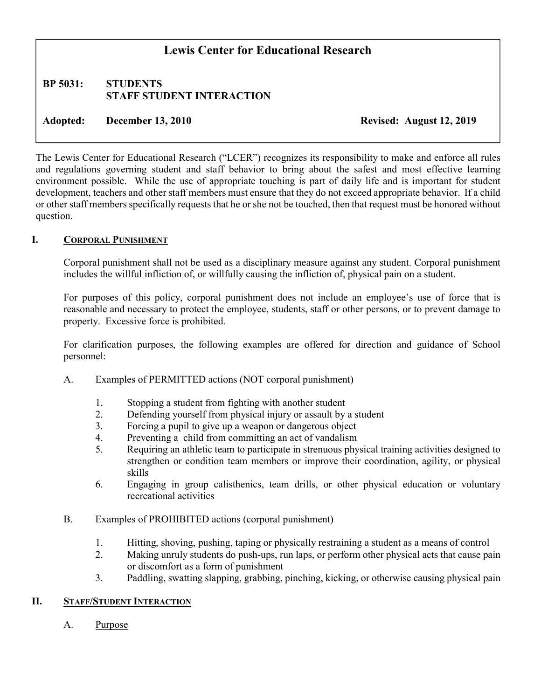# Lewis Center for Educational Research

## BP 5031: STUDENTS STAFF STUDENT INTERACTION

Adopted: December 13, 2010 Revised: August 12, 2019

The Lewis Center for Educational Research ("LCER") recognizes its responsibility to make and enforce all rules and regulations governing student and staff behavior to bring about the safest and most effective learning environment possible. While the use of appropriate touching is part of daily life and is important for student development, teachers and other staff members must ensure that they do not exceed appropriate behavior. If a child or other staff members specifically requests that he or she not be touched, then that request must be honored without question.

## I. CORPORAL PUNISHMENT

Corporal punishment shall not be used as a disciplinary measure against any student. Corporal punishment includes the willful infliction of, or willfully causing the infliction of, physical pain on a student.

For purposes of this policy, corporal punishment does not include an employee's use of force that is reasonable and necessary to protect the employee, students, staff or other persons, or to prevent damage to property. Excessive force is prohibited.

For clarification purposes, the following examples are offered for direction and guidance of School personnel:

- A. Examples of PERMITTED actions (NOT corporal punishment)
	- 1. Stopping a student from fighting with another student
	- 2. Defending yourself from physical injury or assault by a student
	- 3. Forcing a pupil to give up a weapon or dangerous object
	- 4. Preventing a child from committing an act of vandalism
	- 5. Requiring an athletic team to participate in strenuous physical training activities designed to strengthen or condition team members or improve their coordination, agility, or physical skills
	- 6. Engaging in group calisthenics, team drills, or other physical education or voluntary recreational activities
- B. Examples of PROHIBITED actions (corporal punishment)
	- 1. Hitting, shoving, pushing, taping or physically restraining a student as a means of control
	- 2. Making unruly students do push-ups, run laps, or perform other physical acts that cause pain or discomfort as a form of punishment
	- 3. Paddling, swatting slapping, grabbing, pinching, kicking, or otherwise causing physical pain

#### II. STAFF/STUDENT INTERACTION

A. Purpose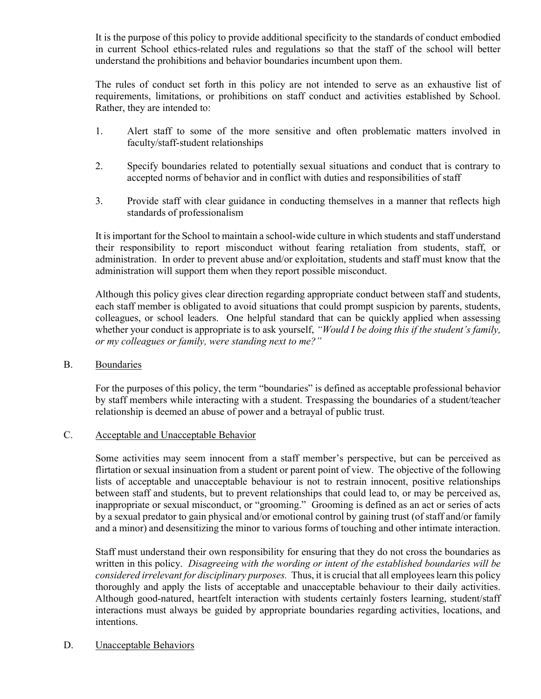It is the purpose of this policy to provide additional specificity to the standards of conduct embodied in current School ethics-related rules and regulations so that the staff of the school will better understand the prohibitions and behavior boundaries incumbent upon them.

The rules of conduct set forth in this policy are not intended to serve as an exhaustive list of requirements, limitations, or prohibitions on staff conduct and activities established by School. Rather, they are intended to:

- 1. Alert staff to some of the more sensitive and often problematic matters involved in faculty/staff-student relationships
- 2. Specify boundaries related to potentially sexual situations and conduct that is contrary to accepted norms of behavior and in conflict with duties and responsibilities of staff
- 3. Provide staff with clear guidance in conducting themselves in a manner that reflects high standards of professionalism

It is important for the School to maintain a school-wide culture in which students and staff understand their responsibility to report misconduct without fearing retaliation from students, staff, or administration. In order to prevent abuse and/or exploitation, students and staff must know that the administration will support them when they report possible misconduct.

Although this policy gives clear direction regarding appropriate conduct between staff and students, each staff member is obligated to avoid situations that could prompt suspicion by parents, students, colleagues, or school leaders. One helpful standard that can be quickly applied when assessing whether your conduct is appropriate is to ask yourself, "Would I be doing this if the student's family, or my colleagues or family, were standing next to me?"

B. Boundaries

For the purposes of this policy, the term "boundaries" is defined as acceptable professional behavior by staff members while interacting with a student. Trespassing the boundaries of a student/teacher relationship is deemed an abuse of power and a betrayal of public trust.

#### C. Acceptable and Unacceptable Behavior

Some activities may seem innocent from a staff member's perspective, but can be perceived as flirtation or sexual insinuation from a student or parent point of view. The objective of the following lists of acceptable and unacceptable behaviour is not to restrain innocent, positive relationships between staff and students, but to prevent relationships that could lead to, or may be perceived as, inappropriate or sexual misconduct, or "grooming." Grooming is defined as an act or series of acts by a sexual predator to gain physical and/or emotional control by gaining trust (of staff and/or family and a minor) and desensitizing the minor to various forms of touching and other intimate interaction.

Staff must understand their own responsibility for ensuring that they do not cross the boundaries as written in this policy. Disagreeing with the wording or intent of the established boundaries will be considered irrelevant for disciplinary purposes. Thus, it is crucial that all employees learn this policy thoroughly and apply the lists of acceptable and unacceptable behaviour to their daily activities. Although good-natured, heartfelt interaction with students certainly fosters learning, student/staff interactions must always be guided by appropriate boundaries regarding activities, locations, and intentions.

D. Unacceptable Behaviors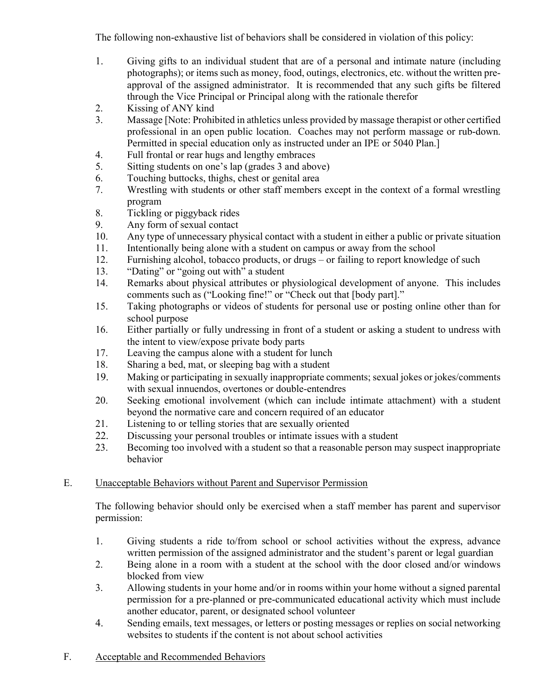The following non-exhaustive list of behaviors shall be considered in violation of this policy:

- 1. Giving gifts to an individual student that are of a personal and intimate nature (including photographs); or items such as money, food, outings, electronics, etc. without the written preapproval of the assigned administrator. It is recommended that any such gifts be filtered through the Vice Principal or Principal along with the rationale therefor
- 2. Kissing of ANY kind
- 3. Massage [Note: Prohibited in athletics unless provided by massage therapist or other certified professional in an open public location. Coaches may not perform massage or rub-down. Permitted in special education only as instructed under an IPE or 5040 Plan.]
- 4. Full frontal or rear hugs and lengthy embraces
- 5. Sitting students on one's lap (grades 3 and above)
- 6. Touching buttocks, thighs, chest or genital area
- 7. Wrestling with students or other staff members except in the context of a formal wrestling program
- 8. Tickling or piggyback rides
- 9. Any form of sexual contact
- 10. Any type of unnecessary physical contact with a student in either a public or private situation
- 11. Intentionally being alone with a student on campus or away from the school
- 12. Furnishing alcohol, tobacco products, or drugs or failing to report knowledge of such
- 13. "Dating" or "going out with" a student
- 14. Remarks about physical attributes or physiological development of anyone. This includes comments such as ("Looking fine!" or "Check out that [body part]."
- 15. Taking photographs or videos of students for personal use or posting online other than for school purpose
- 16. Either partially or fully undressing in front of a student or asking a student to undress with the intent to view/expose private body parts
- 17. Leaving the campus alone with a student for lunch
- 18. Sharing a bed, mat, or sleeping bag with a student
- 19. Making or participating in sexually inappropriate comments; sexual jokes or jokes/comments with sexual innuendos, overtones or double-entendres
- 20. Seeking emotional involvement (which can include intimate attachment) with a student beyond the normative care and concern required of an educator
- 21. Listening to or telling stories that are sexually oriented
- 22. Discussing your personal troubles or intimate issues with a student
- 23. Becoming too involved with a student so that a reasonable person may suspect inappropriate behavior

# E. Unacceptable Behaviors without Parent and Supervisor Permission

The following behavior should only be exercised when a staff member has parent and supervisor permission:

- 1. Giving students a ride to/from school or school activities without the express, advance written permission of the assigned administrator and the student's parent or legal guardian
- 2. Being alone in a room with a student at the school with the door closed and/or windows blocked from view
- 3. Allowing students in your home and/or in rooms within your home without a signed parental permission for a pre-planned or pre-communicated educational activity which must include another educator, parent, or designated school volunteer
- 4. Sending emails, text messages, or letters or posting messages or replies on social networking websites to students if the content is not about school activities
- F. Acceptable and Recommended Behaviors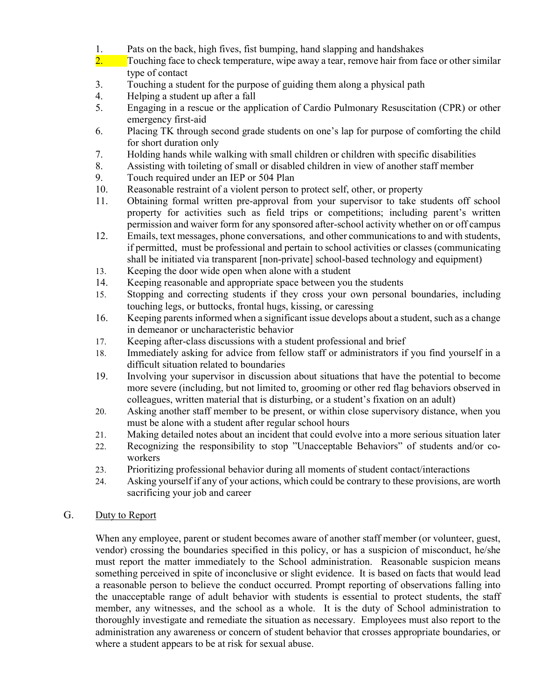- 1. Pats on the back, high fives, fist bumping, hand slapping and handshakes
- $2.$  Touching face to check temperature, wipe away a tear, remove hair from face or other similar type of contact
- 3. Touching a student for the purpose of guiding them along a physical path
- 4. Helping a student up after a fall
- 5. Engaging in a rescue or the application of Cardio Pulmonary Resuscitation (CPR) or other emergency first-aid
- 6. Placing TK through second grade students on one's lap for purpose of comforting the child for short duration only
- 7. Holding hands while walking with small children or children with specific disabilities
- 8. Assisting with toileting of small or disabled children in view of another staff member
- 9. Touch required under an IEP or 504 Plan
- 10. Reasonable restraint of a violent person to protect self, other, or property
- 11. Obtaining formal written pre-approval from your supervisor to take students off school property for activities such as field trips or competitions; including parent's written permission and waiver form for any sponsored after-school activity whether on or off campus
- 12. Emails, text messages, phone conversations, and other communications to and with students, if permitted, must be professional and pertain to school activities or classes (communicating shall be initiated via transparent [non-private] school-based technology and equipment)
- 13. Keeping the door wide open when alone with a student
- 14. Keeping reasonable and appropriate space between you the students
- 15. Stopping and correcting students if they cross your own personal boundaries, including touching legs, or buttocks, frontal hugs, kissing, or caressing
- 16. Keeping parents informed when a significant issue develops about a student, such as a change in demeanor or uncharacteristic behavior
- 17. Keeping after-class discussions with a student professional and brief
- 18. Immediately asking for advice from fellow staff or administrators if you find yourself in a difficult situation related to boundaries
- 19. Involving your supervisor in discussion about situations that have the potential to become more severe (including, but not limited to, grooming or other red flag behaviors observed in colleagues, written material that is disturbing, or a student's fixation on an adult)
- 20. Asking another staff member to be present, or within close supervisory distance, when you must be alone with a student after regular school hours
- 21. Making detailed notes about an incident that could evolve into a more serious situation later
- 22. Recognizing the responsibility to stop "Unacceptable Behaviors" of students and/or coworkers
- 23. Prioritizing professional behavior during all moments of student contact/interactions
- 24. Asking yourself if any of your actions, which could be contrary to these provisions, are worth sacrificing your job and career

#### G. Duty to Report

When any employee, parent or student becomes aware of another staff member (or volunteer, guest, vendor) crossing the boundaries specified in this policy, or has a suspicion of misconduct, he/she must report the matter immediately to the School administration. Reasonable suspicion means something perceived in spite of inconclusive or slight evidence. It is based on facts that would lead a reasonable person to believe the conduct occurred. Prompt reporting of observations falling into the unacceptable range of adult behavior with students is essential to protect students, the staff member, any witnesses, and the school as a whole. It is the duty of School administration to thoroughly investigate and remediate the situation as necessary. Employees must also report to the administration any awareness or concern of student behavior that crosses appropriate boundaries, or where a student appears to be at risk for sexual abuse.